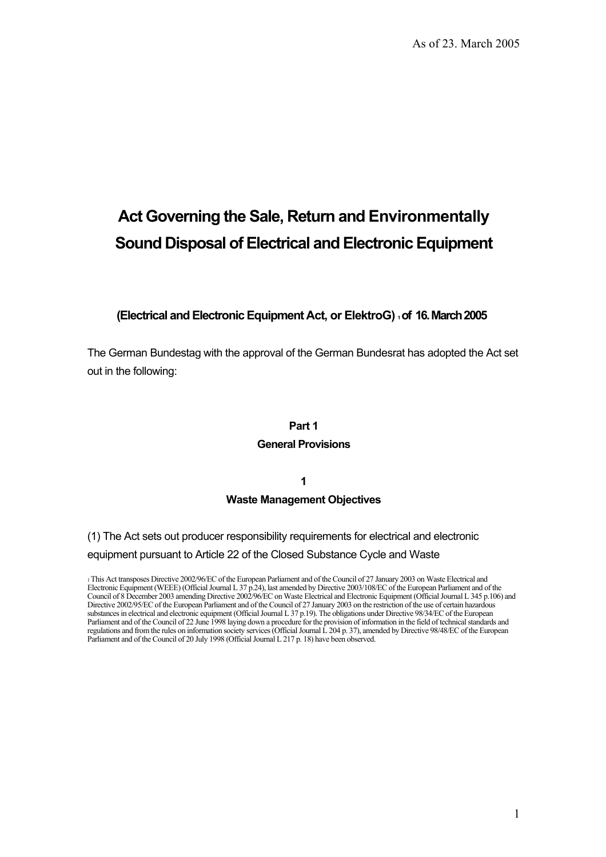# **Act Governing the Sale, Return and Environmentally Sound Disposal of Electrical and Electronic Equipment**

## **(Electrical and ElectronicEquipment Act, or ElektroG) 1 of 16. March 2005**

The German Bundestag with the approval of the German Bundesrat has adopted the Act set out in the following:

#### **Part 1**

#### **General Provisions**

**1** 

#### **Waste Management Objectives**

(1) The Act sets out producer responsibility requirements for electrical and electronic equipment pursuant to Article 22 of the Closed Substance Cycle and Waste

1 This Act transposes Directive 2002/96/EC of the European Parliament and of the Council of 27 January 2003 on Waste Electrical and Electronic Equipment (WEEE) (Official Journal L 37 p.24), last amended by Directive 2003/108/EC of the European Parliament and of the Council of 8 December 2003 amending Directive 2002/96/EC on Waste Electrical and Electronic Equipment (Official Journal L 345 p.106) and Directive 2002/95/EC of the European Parliament and of the Council of 27 January 2003 on the restriction of the use of certain hazardous substances in electrical and electronic equipment (Official Journal L 37 p.19). The obligations under Directive 98/34/EC of the European Parliament and of the Council of 22 June 1998 laying down a procedure for the provision of information in the field of technical standards and regulations and from the rules on information society services (Official Journal L 204 p. 37), amended by Directive 98/48/EC of the European Parliament and of the Council of 20 July 1998 (Official Journal L 217 p. 18) have been observed.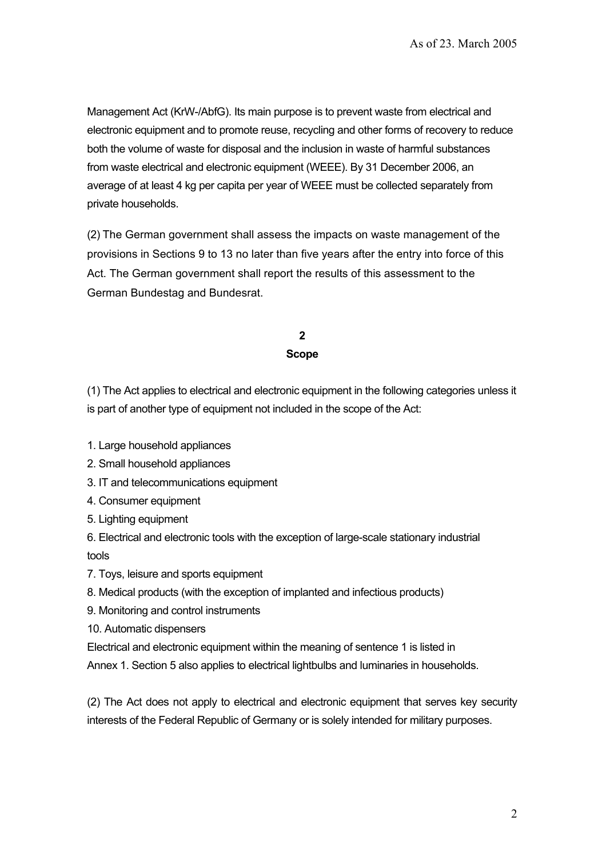Management Act (KrW-/AbfG). Its main purpose is to prevent waste from electrical and electronic equipment and to promote reuse, recycling and other forms of recovery to reduce both the volume of waste for disposal and the inclusion in waste of harmful substances from waste electrical and electronic equipment (WEEE). By 31 December 2006, an average of at least 4 kg per capita per year of WEEE must be collected separately from private households.

(2) The German government shall assess the impacts on waste management of the provisions in Sections 9 to 13 no later than five years after the entry into force of this Act. The German government shall report the results of this assessment to the German Bundestag and Bundesrat.

> **2 Scope**

(1) The Act applies to electrical and electronic equipment in the following categories unless it is part of another type of equipment not included in the scope of the Act:

- 1. Large household appliances
- 2. Small household appliances
- 3. IT and telecommunications equipment
- 4. Consumer equipment
- 5. Lighting equipment

6. Electrical and electronic tools with the exception of large-scale stationary industrial tools

7. Toys, leisure and sports equipment

- 8. Medical products (with the exception of implanted and infectious products)
- 9. Monitoring and control instruments
- 10. Automatic dispensers

Electrical and electronic equipment within the meaning of sentence 1 is listed in

Annex 1. Section 5 also applies to electrical lightbulbs and luminaries in households.

(2) The Act does not apply to electrical and electronic equipment that serves key security interests of the Federal Republic of Germany or is solely intended for military purposes.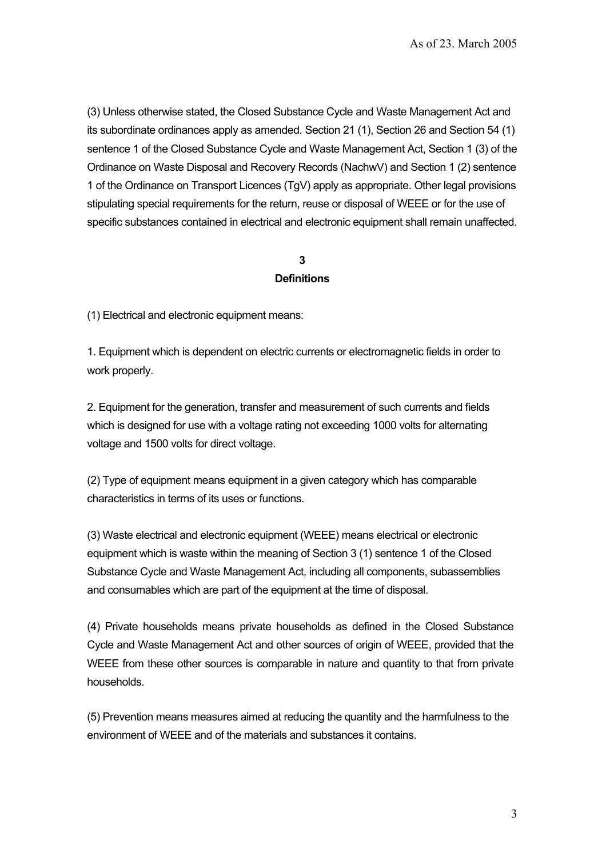(3) Unless otherwise stated, the Closed Substance Cycle and Waste Management Act and its subordinate ordinances apply as amended. Section 21 (1), Section 26 and Section 54 (1) sentence 1 of the Closed Substance Cycle and Waste Management Act, Section 1 (3) of the Ordinance on Waste Disposal and Recovery Records (NachwV) and Section 1 (2) sentence 1 of the Ordinance on Transport Licences (TgV) apply as appropriate. Other legal provisions stipulating special requirements for the return, reuse or disposal of WEEE or for the use of specific substances contained in electrical and electronic equipment shall remain unaffected.

## **3 Definitions**

(1) Electrical and electronic equipment means:

1. Equipment which is dependent on electric currents or electromagnetic fields in order to work properly.

2. Equipment for the generation, transfer and measurement of such currents and fields which is designed for use with a voltage rating not exceeding 1000 volts for alternating voltage and 1500 volts for direct voltage.

(2) Type of equipment means equipment in a given category which has comparable characteristics in terms of its uses or functions.

(3) Waste electrical and electronic equipment (WEEE) means electrical or electronic equipment which is waste within the meaning of Section 3 (1) sentence 1 of the Closed Substance Cycle and Waste Management Act, including all components, subassemblies and consumables which are part of the equipment at the time of disposal.

(4) Private households means private households as defined in the Closed Substance Cycle and Waste Management Act and other sources of origin of WEEE, provided that the WEEE from these other sources is comparable in nature and quantity to that from private households.

(5) Prevention means measures aimed at reducing the quantity and the harmfulness to the environment of WEEE and of the materials and substances it contains.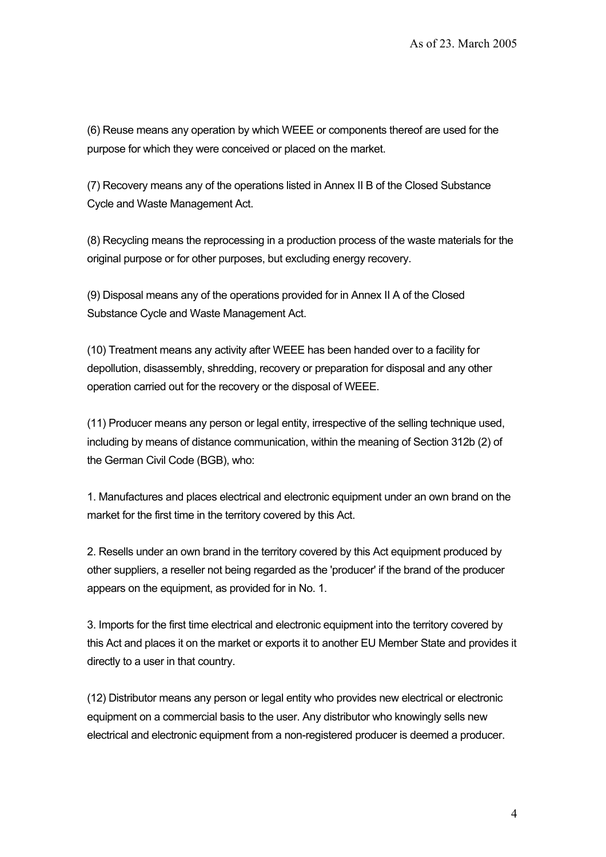(6) Reuse means any operation by which WEEE or components thereof are used for the purpose for which they were conceived or placed on the market.

(7) Recovery means any of the operations listed in Annex II B of the Closed Substance Cycle and Waste Management Act.

(8) Recycling means the reprocessing in a production process of the waste materials for the original purpose or for other purposes, but excluding energy recovery.

(9) Disposal means any of the operations provided for in Annex II A of the Closed Substance Cycle and Waste Management Act.

(10) Treatment means any activity after WEEE has been handed over to a facility for depollution, disassembly, shredding, recovery or preparation for disposal and any other operation carried out for the recovery or the disposal of WEEE.

(11) Producer means any person or legal entity, irrespective of the selling technique used, including by means of distance communication, within the meaning of Section 312b (2) of the German Civil Code (BGB), who:

1. Manufactures and places electrical and electronic equipment under an own brand on the market for the first time in the territory covered by this Act.

2. Resells under an own brand in the territory covered by this Act equipment produced by other suppliers, a reseller not being regarded as the 'producer' if the brand of the producer appears on the equipment, as provided for in No. 1.

3. Imports for the first time electrical and electronic equipment into the territory covered by this Act and places it on the market or exports it to another EU Member State and provides it directly to a user in that country.

(12) Distributor means any person or legal entity who provides new electrical or electronic equipment on a commercial basis to the user. Any distributor who knowingly sells new electrical and electronic equipment from a non-registered producer is deemed a producer.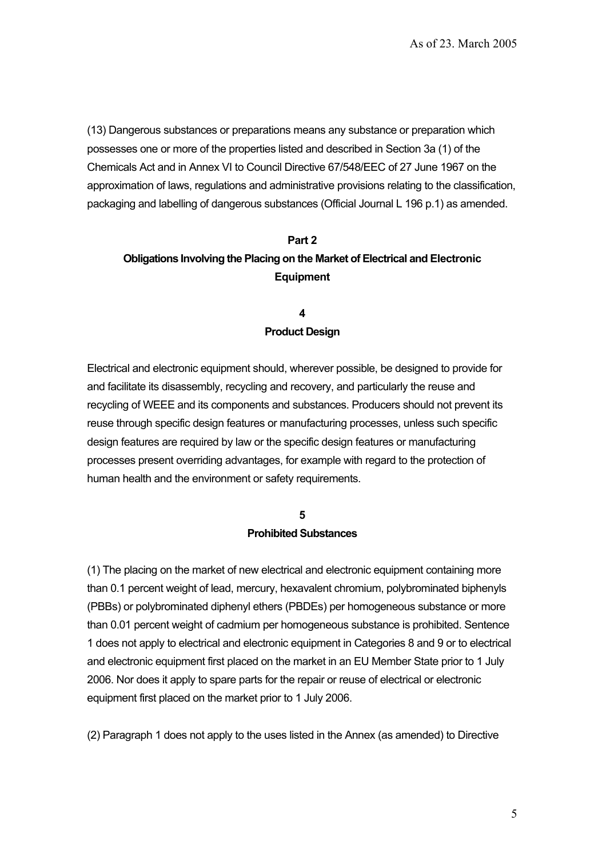(13) Dangerous substances or preparations means any substance or preparation which possesses one or more of the properties listed and described in Section 3a (1) of the Chemicals Act and in Annex VI to Council Directive 67/548/EEC of 27 June 1967 on the approximation of laws, regulations and administrative provisions relating to the classification, packaging and labelling of dangerous substances (Official Journal L 196 p.1) as amended.

# **Part 2 Obligations Involving the Placing on the Market of Electrical and Electronic Equipment**

## **4 Product Design**

Electrical and electronic equipment should, wherever possible, be designed to provide for and facilitate its disassembly, recycling and recovery, and particularly the reuse and recycling of WEEE and its components and substances. Producers should not prevent its reuse through specific design features or manufacturing processes, unless such specific design features are required by law or the specific design features or manufacturing processes present overriding advantages, for example with regard to the protection of human health and the environment or safety requirements.

# **5 Prohibited Substances**

(1) The placing on the market of new electrical and electronic equipment containing more than 0.1 percent weight of lead, mercury, hexavalent chromium, polybrominated biphenyls (PBBs) or polybrominated diphenyl ethers (PBDEs) per homogeneous substance or more than 0.01 percent weight of cadmium per homogeneous substance is prohibited. Sentence 1 does not apply to electrical and electronic equipment in Categories 8 and 9 or to electrical and electronic equipment first placed on the market in an EU Member State prior to 1 July 2006. Nor does it apply to spare parts for the repair or reuse of electrical or electronic equipment first placed on the market prior to 1 July 2006.

(2) Paragraph 1 does not apply to the uses listed in the Annex (as amended) to Directive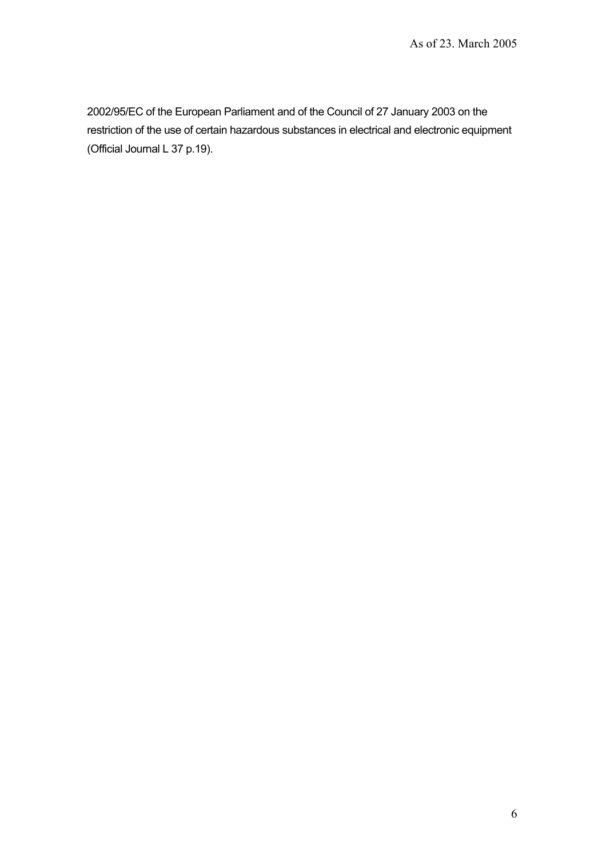2002/95/EC of the European Parliament and of the Council of 27 January 2003 on the restriction of the use of certain hazardous substances in electrical and electronic equipment (Official Journal L 37 p.19).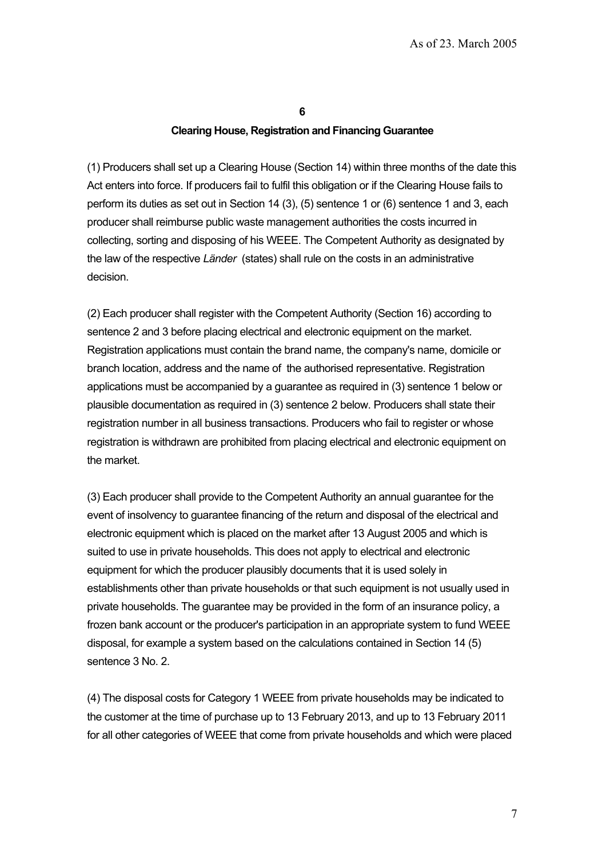**6** 

#### **Clearing House, Registration and Financing Guarantee**

(1) Producers shall set up a Clearing House (Section 14) within three months of the date this Act enters into force. If producers fail to fulfil this obligation or if the Clearing House fails to perform its duties as set out in Section 14 (3), (5) sentence 1 or (6) sentence 1 and 3, each producer shall reimburse public waste management authorities the costs incurred in collecting, sorting and disposing of his WEEE. The Competent Authority as designated by the law of the respective *Länder* (states) shall rule on the costs in an administrative decision.

(2) Each producer shall register with the Competent Authority (Section 16) according to sentence 2 and 3 before placing electrical and electronic equipment on the market. Registration applications must contain the brand name, the company's name, domicile or branch location, address and the name of the authorised representative. Registration applications must be accompanied by a guarantee as required in (3) sentence 1 below or plausible documentation as required in (3) sentence 2 below. Producers shall state their registration number in all business transactions. Producers who fail to register or whose registration is withdrawn are prohibited from placing electrical and electronic equipment on the market.

(3) Each producer shall provide to the Competent Authority an annual guarantee for the event of insolvency to guarantee financing of the return and disposal of the electrical and electronic equipment which is placed on the market after 13 August 2005 and which is suited to use in private households. This does not apply to electrical and electronic equipment for which the producer plausibly documents that it is used solely in establishments other than private households or that such equipment is not usually used in private households. The guarantee may be provided in the form of an insurance policy, a frozen bank account or the producer's participation in an appropriate system to fund WEEE disposal, for example a system based on the calculations contained in Section 14 (5) sentence 3 No. 2.

(4) The disposal costs for Category 1 WEEE from private households may be indicated to the customer at the time of purchase up to 13 February 2013, and up to 13 February 2011 for all other categories of WEEE that come from private households and which were placed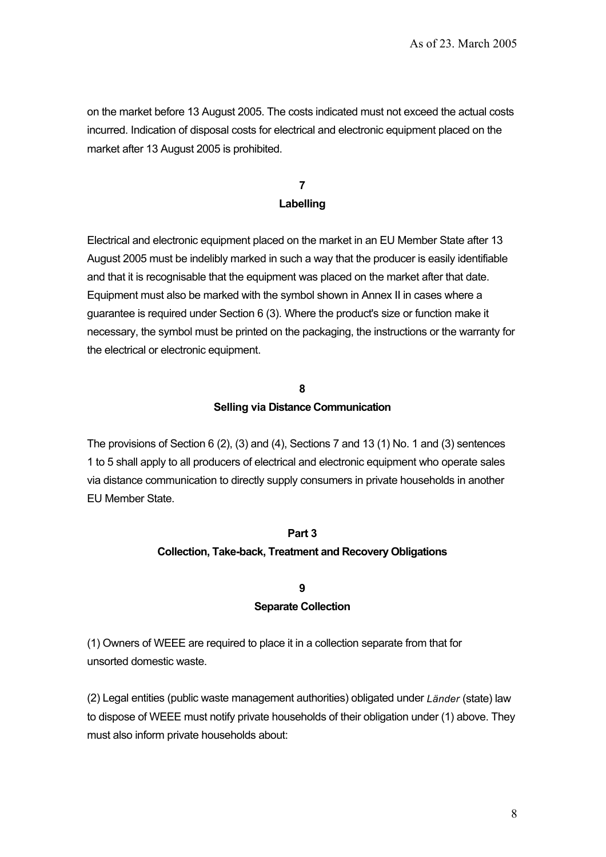on the market before 13 August 2005. The costs indicated must not exceed the actual costs incurred. Indication of disposal costs for electrical and electronic equipment placed on the market after 13 August 2005 is prohibited.

## **7 Labelling**

Electrical and electronic equipment placed on the market in an EU Member State after 13 August 2005 must be indelibly marked in such a way that the producer is easily identifiable and that it is recognisable that the equipment was placed on the market after that date. Equipment must also be marked with the symbol shown in Annex II in cases where a guarantee is required under Section 6 (3). Where the product's size or function make it necessary, the symbol must be printed on the packaging, the instructions or the warranty for the electrical or electronic equipment.

#### **8**

#### **Selling via Distance Communication**

The provisions of Section 6 (2), (3) and (4), Sections 7 and 13 (1) No. 1 and (3) sentences 1 to 5 shall apply to all producers of electrical and electronic equipment who operate sales via distance communication to directly supply consumers in private households in another EU Member State.

#### **Part 3**

## **Collection, Take-back, Treatment and Recovery Obligations**

## **9 Separate Collection**

(1) Owners of WEEE are required to place it in a collection separate from that for unsorted domestic waste.

(2) Legal entities (public waste management authorities) obligated under *Länder* (state) law to dispose of WEEE must notify private households of their obligation under (1) above. They must also inform private households about: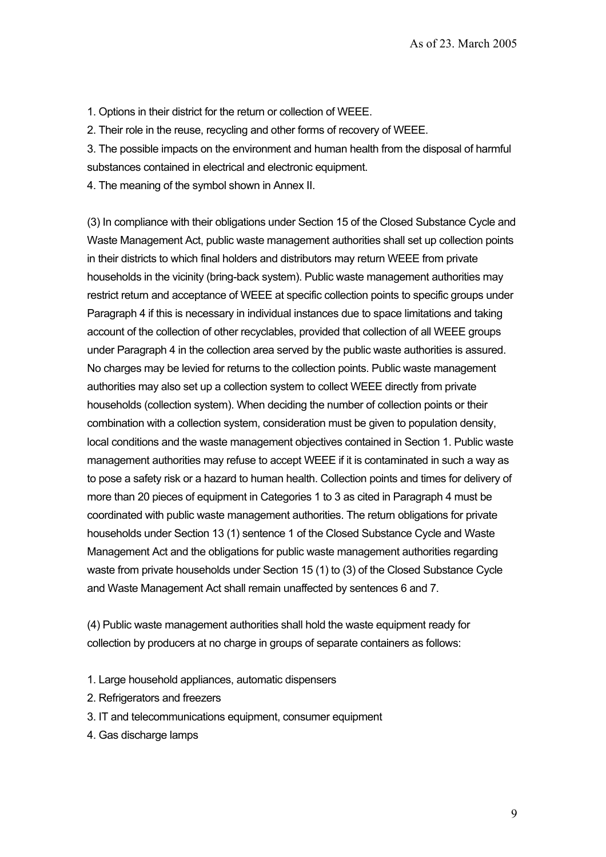1. Options in their district for the return or collection of WEEE.

2. Their role in the reuse, recycling and other forms of recovery of WEEE.

3. The possible impacts on the environment and human health from the disposal of harmful substances contained in electrical and electronic equipment.

4. The meaning of the symbol shown in Annex II.

(3) In compliance with their obligations under Section 15 of the Closed Substance Cycle and Waste Management Act, public waste management authorities shall set up collection points in their districts to which final holders and distributors may return WEEE from private households in the vicinity (bring-back system). Public waste management authorities may restrict return and acceptance of WEEE at specific collection points to specific groups under Paragraph 4 if this is necessary in individual instances due to space limitations and taking account of the collection of other recyclables, provided that collection of all WEEE groups under Paragraph 4 in the collection area served by the public waste authorities is assured. No charges may be levied for returns to the collection points. Public waste management authorities may also set up a collection system to collect WEEE directly from private households (collection system). When deciding the number of collection points or their combination with a collection system, consideration must be given to population density, local conditions and the waste management objectives contained in Section 1. Public waste management authorities may refuse to accept WEEE if it is contaminated in such a way as to pose a safety risk or a hazard to human health. Collection points and times for delivery of more than 20 pieces of equipment in Categories 1 to 3 as cited in Paragraph 4 must be coordinated with public waste management authorities. The return obligations for private households under Section 13 (1) sentence 1 of the Closed Substance Cycle and Waste Management Act and the obligations for public waste management authorities regarding waste from private households under Section 15 (1) to (3) of the Closed Substance Cycle and Waste Management Act shall remain unaffected by sentences 6 and 7.

(4) Public waste management authorities shall hold the waste equipment ready for collection by producers at no charge in groups of separate containers as follows:

- 1. Large household appliances, automatic dispensers
- 2. Refrigerators and freezers
- 3. IT and telecommunications equipment, consumer equipment
- 4. Gas discharge lamps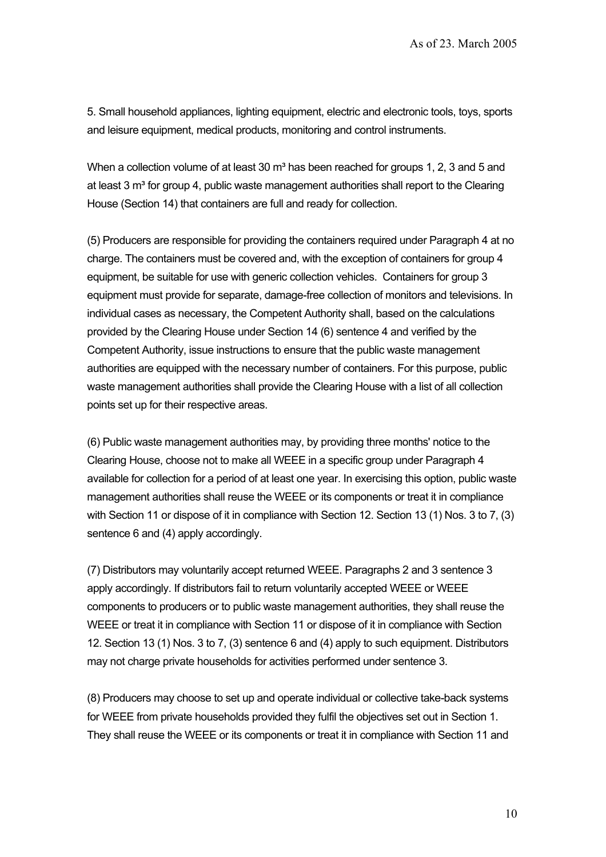5. Small household appliances, lighting equipment, electric and electronic tools, toys, sports and leisure equipment, medical products, monitoring and control instruments.

When a collection volume of at least 30  $m<sup>3</sup>$  has been reached for groups 1, 2, 3 and 5 and at least 3  $m<sup>3</sup>$  for group 4, public waste management authorities shall report to the Clearing House (Section 14) that containers are full and ready for collection.

(5) Producers are responsible for providing the containers required under Paragraph 4 at no charge. The containers must be covered and, with the exception of containers for group 4 equipment, be suitable for use with generic collection vehicles. Containers for group 3 equipment must provide for separate, damage-free collection of monitors and televisions. In individual cases as necessary, the Competent Authority shall, based on the calculations provided by the Clearing House under Section 14 (6) sentence 4 and verified by the Competent Authority, issue instructions to ensure that the public waste management authorities are equipped with the necessary number of containers. For this purpose, public waste management authorities shall provide the Clearing House with a list of all collection points set up for their respective areas.

(6) Public waste management authorities may, by providing three months' notice to the Clearing House, choose not to make all WEEE in a specific group under Paragraph 4 available for collection for a period of at least one year. In exercising this option, public waste management authorities shall reuse the WEEE or its components or treat it in compliance with Section 11 or dispose of it in compliance with Section 12. Section 13 (1) Nos. 3 to 7, (3) sentence 6 and (4) apply accordingly.

(7) Distributors may voluntarily accept returned WEEE. Paragraphs 2 and 3 sentence 3 apply accordingly. If distributors fail to return voluntarily accepted WEEE or WEEE components to producers or to public waste management authorities, they shall reuse the WEEE or treat it in compliance with Section 11 or dispose of it in compliance with Section 12. Section 13 (1) Nos. 3 to 7, (3) sentence 6 and (4) apply to such equipment. Distributors may not charge private households for activities performed under sentence 3.

(8) Producers may choose to set up and operate individual or collective take-back systems for WEEE from private households provided they fulfil the objectives set out in Section 1. They shall reuse the WEEE or its components or treat it in compliance with Section 11 and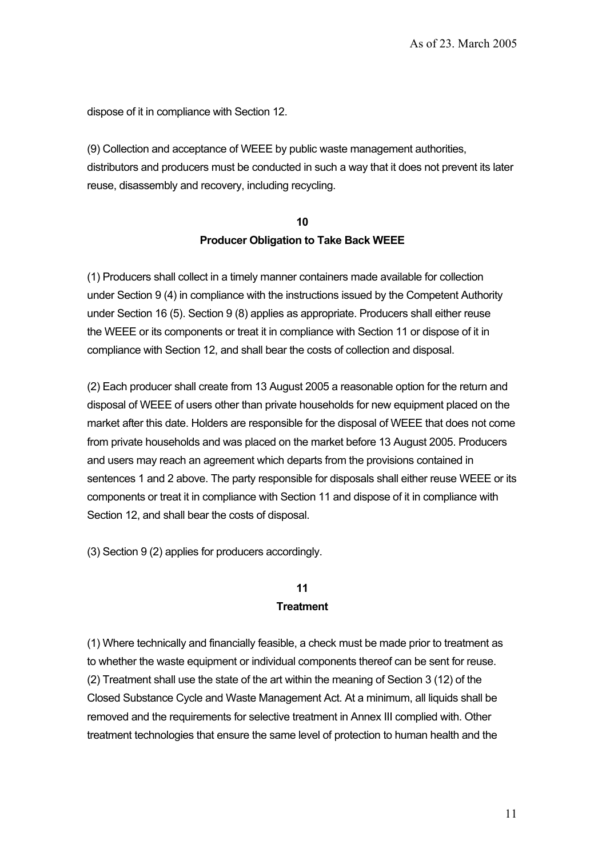dispose of it in compliance with Section 12.

(9) Collection and acceptance of WEEE by public waste management authorities, distributors and producers must be conducted in such a way that it does not prevent its later reuse, disassembly and recovery, including recycling.

# **10 Producer Obligation to Take Back WEEE**

(1) Producers shall collect in a timely manner containers made available for collection under Section 9 (4) in compliance with the instructions issued by the Competent Authority under Section 16 (5). Section 9 (8) applies as appropriate. Producers shall either reuse the WEEE or its components or treat it in compliance with Section 11 or dispose of it in compliance with Section 12, and shall bear the costs of collection and disposal.

(2) Each producer shall create from 13 August 2005 a reasonable option for the return and disposal of WEEE of users other than private households for new equipment placed on the market after this date. Holders are responsible for the disposal of WEEE that does not come from private households and was placed on the market before 13 August 2005. Producers and users may reach an agreement which departs from the provisions contained in sentences 1 and 2 above. The party responsible for disposals shall either reuse WEEE or its components or treat it in compliance with Section 11 and dispose of it in compliance with Section 12, and shall bear the costs of disposal.

(3) Section 9 (2) applies for producers accordingly.

## **11 Treatment**

(1) Where technically and financially feasible, a check must be made prior to treatment as to whether the waste equipment or individual components thereof can be sent for reuse. (2) Treatment shall use the state of the art within the meaning of Section 3 (12) of the Closed Substance Cycle and Waste Management Act. At a minimum, all liquids shall be removed and the requirements for selective treatment in Annex III complied with. Other treatment technologies that ensure the same level of protection to human health and the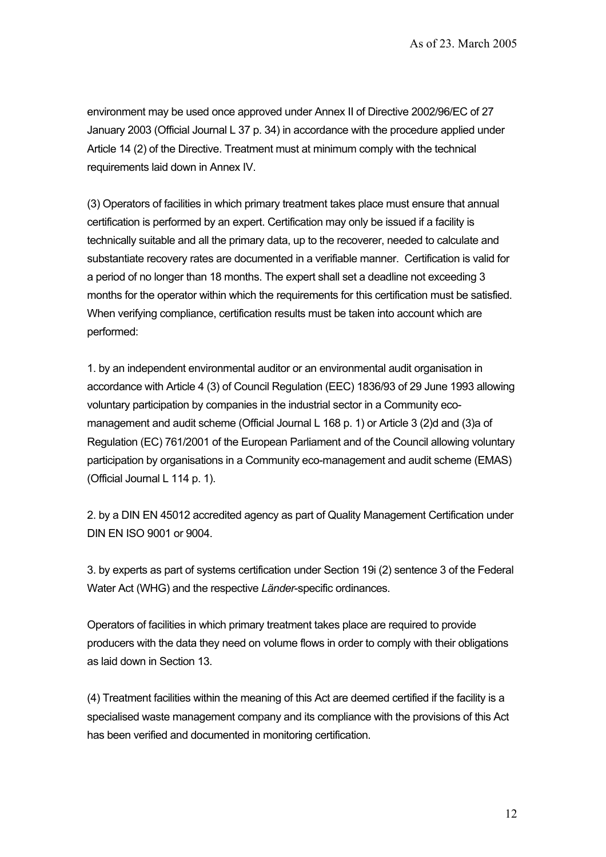environment may be used once approved under Annex II of Directive 2002/96/EC of 27 January 2003 (Official Journal L 37 p. 34) in accordance with the procedure applied under Article 14 (2) of the Directive. Treatment must at minimum comply with the technical requirements laid down in Annex IV.

(3) Operators of facilities in which primary treatment takes place must ensure that annual certification is performed by an expert. Certification may only be issued if a facility is technically suitable and all the primary data, up to the recoverer, needed to calculate and substantiate recovery rates are documented in a verifiable manner. Certification is valid for a period of no longer than 18 months. The expert shall set a deadline not exceeding 3 months for the operator within which the requirements for this certification must be satisfied. When verifying compliance, certification results must be taken into account which are performed:

1. by an independent environmental auditor or an environmental audit organisation in accordance with Article 4 (3) of Council Regulation (EEC) 1836/93 of 29 June 1993 allowing voluntary participation by companies in the industrial sector in a Community ecomanagement and audit scheme (Official Journal L 168 p. 1) or Article 3 (2)d and (3)a of Regulation (EC) 761/2001 of the European Parliament and of the Council allowing voluntary participation by organisations in a Community eco-management and audit scheme (EMAS) (Official Journal L 114 p. 1).

2. by a DIN EN 45012 accredited agency as part of Quality Management Certification under DIN EN ISO 9001 or 9004.

3. by experts as part of systems certification under Section 19i (2) sentence 3 of the Federal Water Act (WHG) and the respective *Länder*-specific ordinances.

Operators of facilities in which primary treatment takes place are required to provide producers with the data they need on volume flows in order to comply with their obligations as laid down in Section 13.

(4) Treatment facilities within the meaning of this Act are deemed certified if the facility is a specialised waste management company and its compliance with the provisions of this Act has been verified and documented in monitoring certification.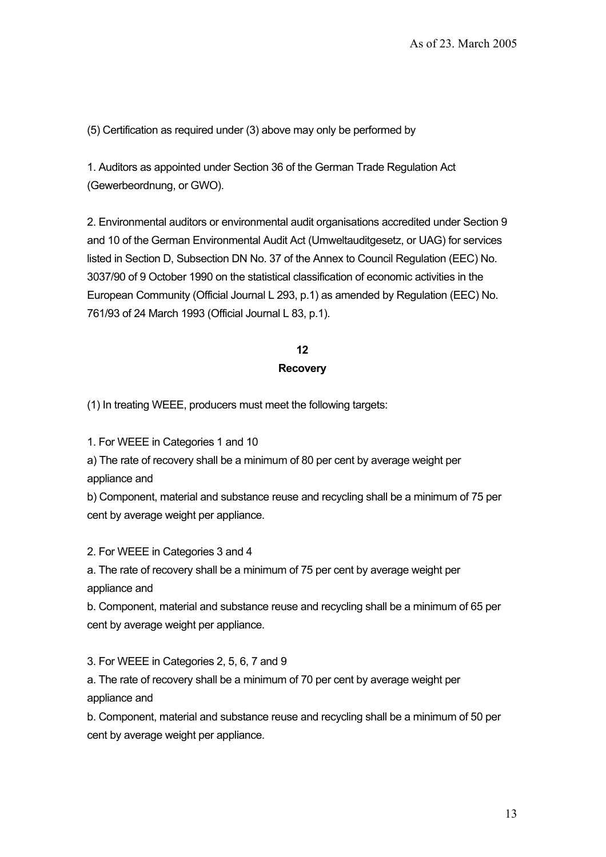(5) Certification as required under (3) above may only be performed by

1. Auditors as appointed under Section 36 of the German Trade Regulation Act (Gewerbeordnung, or GWO).

2. Environmental auditors or environmental audit organisations accredited under Section 9 and 10 of the German Environmental Audit Act (Umweltauditgesetz, or UAG) for services listed in Section D, Subsection DN No. 37 of the Annex to Council Regulation (EEC) No. 3037/90 of 9 October 1990 on the statistical classification of economic activities in the European Community (Official Journal L 293, p.1) as amended by Regulation (EEC) No. 761/93 of 24 March 1993 (Official Journal L 83, p.1).

> **12 Recovery**

(1) In treating WEEE, producers must meet the following targets:

1. For WEEE in Categories 1 and 10

a) The rate of recovery shall be a minimum of 80 per cent by average weight per appliance and

b) Component, material and substance reuse and recycling shall be a minimum of 75 per cent by average weight per appliance.

2. For WEEE in Categories 3 and 4

a. The rate of recovery shall be a minimum of 75 per cent by average weight per appliance and

b. Component, material and substance reuse and recycling shall be a minimum of 65 per cent by average weight per appliance.

3. For WEEE in Categories 2, 5, 6, 7 and 9

a. The rate of recovery shall be a minimum of 70 per cent by average weight per appliance and

b. Component, material and substance reuse and recycling shall be a minimum of 50 per cent by average weight per appliance.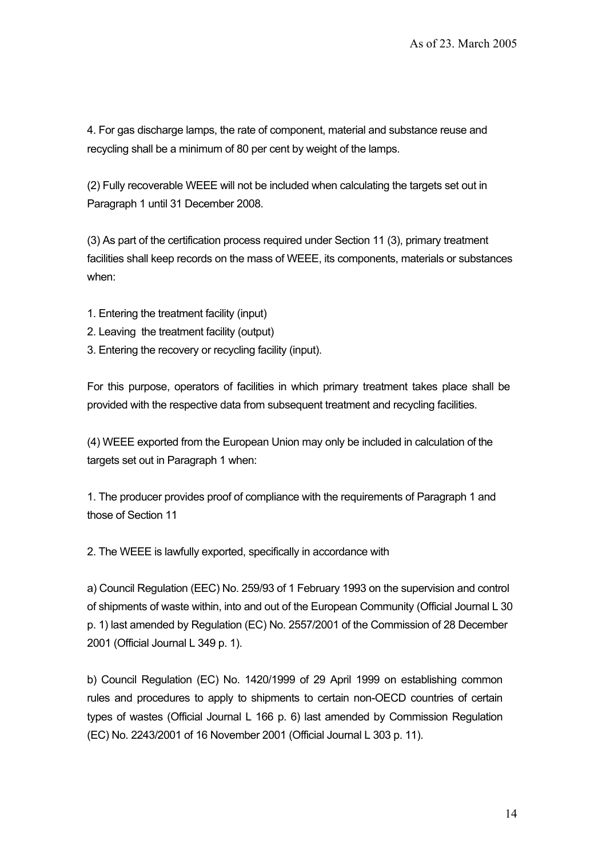4. For gas discharge lamps, the rate of component, material and substance reuse and recycling shall be a minimum of 80 per cent by weight of the lamps.

(2) Fully recoverable WEEE will not be included when calculating the targets set out in Paragraph 1 until 31 December 2008.

(3) As part of the certification process required under Section 11 (3), primary treatment facilities shall keep records on the mass of WEEE, its components, materials or substances when:

- 1. Entering the treatment facility (input)
- 2. Leaving the treatment facility (output)
- 3. Entering the recovery or recycling facility (input).

For this purpose, operators of facilities in which primary treatment takes place shall be provided with the respective data from subsequent treatment and recycling facilities.

(4) WEEE exported from the European Union may only be included in calculation of the targets set out in Paragraph 1 when:

1. The producer provides proof of compliance with the requirements of Paragraph 1 and those of Section 11

2. The WEEE is lawfully exported, specifically in accordance with

a) Council Regulation (EEC) No. 259/93 of 1 February 1993 on the supervision and control of shipments of waste within, into and out of the European Community (Official Journal L 30 p. 1) last amended by Regulation (EC) No. 2557/2001 of the Commission of 28 December 2001 (Official Journal L 349 p. 1).

b) Council Regulation (EC) No. 1420/1999 of 29 April 1999 on establishing common rules and procedures to apply to shipments to certain non-OECD countries of certain types of wastes (Official Journal L 166 p. 6) last amended by Commission Regulation (EC) No. 2243/2001 of 16 November 2001 (Official Journal L 303 p. 11).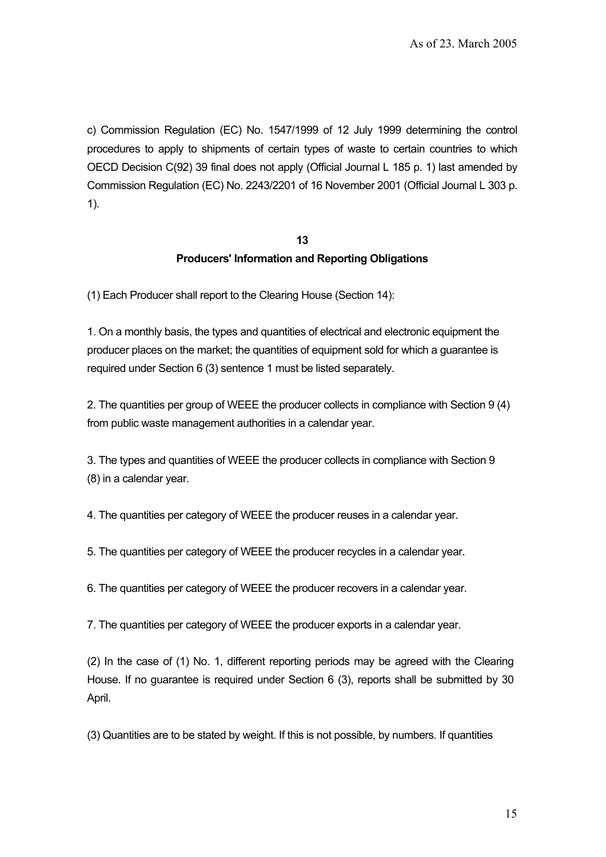c) Commission Regulation (EC) No. 1547/1999 of 12 July 1999 determining the control procedures to apply to shipments of certain types of waste to certain countries to which OECD Decision C(92) 39 final does not apply (Official Journal L 185 p. 1) last amended by Commission Regulation (EC) No. 2243/2201 of 16 November 2001 (Official Journal L 303 p. 1).

# **13 Producers' Information and Reporting Obligations**

(1) Each Producer shall report to the Clearing House (Section 14):

1. On a monthly basis, the types and quantities of electrical and electronic equipment the producer places on the market; the quantities of equipment sold for which a guarantee is required under Section 6 (3) sentence 1 must be listed separately.

2. The quantities per group of WEEE the producer collects in compliance with Section 9 (4) from public waste management authorities in a calendar year.

3. The types and quantities of WEEE the producer collects in compliance with Section 9 (8) in a calendar year.

4. The quantities per category of WEEE the producer reuses in a calendar year.

5. The quantities per category of WEEE the producer recycles in a calendar year.

6. The quantities per category of WEEE the producer recovers in a calendar year.

7. The quantities per category of WEEE the producer exports in a calendar year.

(2) In the case of (1) No. 1, different reporting periods may be agreed with the Clearing House. If no guarantee is required under Section 6 (3), reports shall be submitted by 30 April.

(3) Quantities are to be stated by weight. If this is not possible, by numbers. If quantities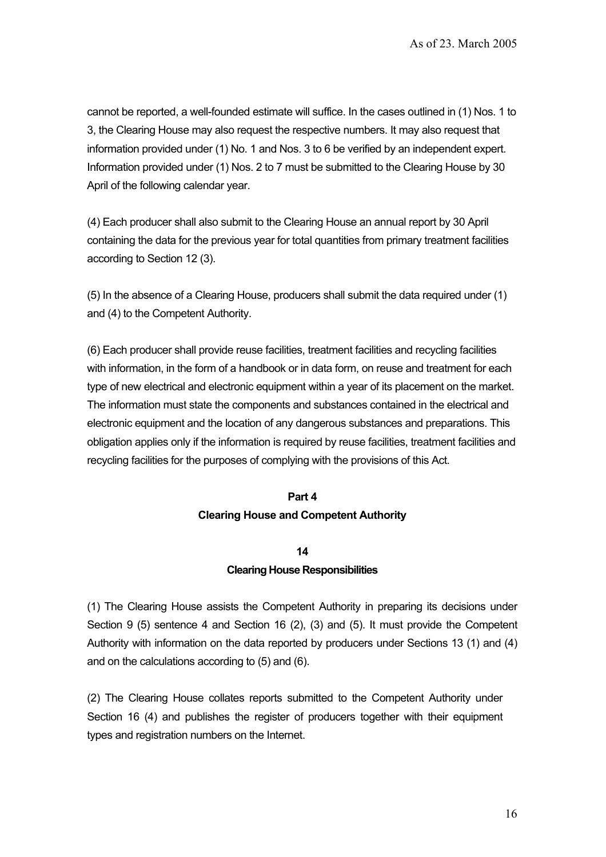cannot be reported, a well-founded estimate will suffice. In the cases outlined in (1) Nos. 1 to 3, the Clearing House may also request the respective numbers. It may also request that information provided under (1) No. 1 and Nos. 3 to 6 be verified by an independent expert. Information provided under (1) Nos. 2 to 7 must be submitted to the Clearing House by 30 April of the following calendar year.

(4) Each producer shall also submit to the Clearing House an annual report by 30 April containing the data for the previous year for total quantities from primary treatment facilities according to Section 12 (3).

(5) In the absence of a Clearing House, producers shall submit the data required under (1) and (4) to the Competent Authority.

(6) Each producer shall provide reuse facilities, treatment facilities and recycling facilities with information, in the form of a handbook or in data form, on reuse and treatment for each type of new electrical and electronic equipment within a year of its placement on the market. The information must state the components and substances contained in the electrical and electronic equipment and the location of any dangerous substances and preparations. This obligation applies only if the information is required by reuse facilities, treatment facilities and recycling facilities for the purposes of complying with the provisions of this Act.

#### **Part 4**

#### **Clearing House and Competent Authority**

#### **14**

#### **Clearing House Responsibilities**

(1) The Clearing House assists the Competent Authority in preparing its decisions under Section 9 (5) sentence 4 and Section 16 (2), (3) and (5). It must provide the Competent Authority with information on the data reported by producers under Sections 13 (1) and (4) and on the calculations according to (5) and (6).

(2) The Clearing House collates reports submitted to the Competent Authority under Section 16 (4) and publishes the register of producers together with their equipment types and registration numbers on the Internet.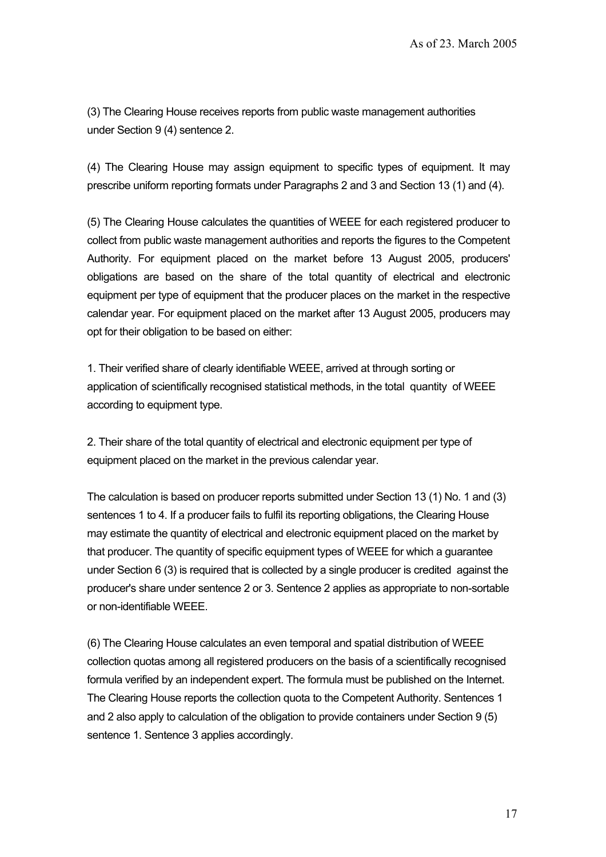(3) The Clearing House receives reports from public waste management authorities under Section 9 (4) sentence 2.

(4) The Clearing House may assign equipment to specific types of equipment. It may prescribe uniform reporting formats under Paragraphs 2 and 3 and Section 13 (1) and (4).

(5) The Clearing House calculates the quantities of WEEE for each registered producer to collect from public waste management authorities and reports the figures to the Competent Authority. For equipment placed on the market before 13 August 2005, producers' obligations are based on the share of the total quantity of electrical and electronic equipment per type of equipment that the producer places on the market in the respective calendar year. For equipment placed on the market after 13 August 2005, producers may opt for their obligation to be based on either:

1. Their verified share of clearly identifiable WEEE, arrived at through sorting or application of scientifically recognised statistical methods, in the total quantity of WEEE according to equipment type.

2. Their share of the total quantity of electrical and electronic equipment per type of equipment placed on the market in the previous calendar year.

The calculation is based on producer reports submitted under Section 13 (1) No. 1 and (3) sentences 1 to 4. If a producer fails to fulfil its reporting obligations, the Clearing House may estimate the quantity of electrical and electronic equipment placed on the market by that producer. The quantity of specific equipment types of WEEE for which a guarantee under Section 6 (3) is required that is collected by a single producer is credited against the producer's share under sentence 2 or 3. Sentence 2 applies as appropriate to non-sortable or non-identifiable WEEE.

(6) The Clearing House calculates an even temporal and spatial distribution of WEEE collection quotas among all registered producers on the basis of a scientifically recognised formula verified by an independent expert. The formula must be published on the Internet. The Clearing House reports the collection quota to the Competent Authority. Sentences 1 and 2 also apply to calculation of the obligation to provide containers under Section 9 (5) sentence 1. Sentence 3 applies accordingly.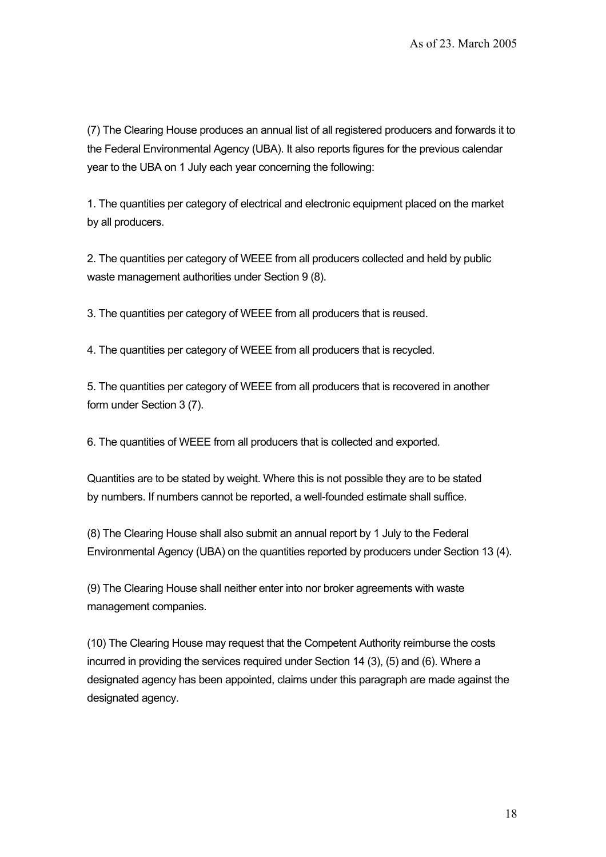(7) The Clearing House produces an annual list of all registered producers and forwards it to the Federal Environmental Agency (UBA). It also reports figures for the previous calendar year to the UBA on 1 July each year concerning the following:

1. The quantities per category of electrical and electronic equipment placed on the market by all producers.

2. The quantities per category of WEEE from all producers collected and held by public waste management authorities under Section 9 (8).

3. The quantities per category of WEEE from all producers that is reused.

4. The quantities per category of WEEE from all producers that is recycled.

5. The quantities per category of WEEE from all producers that is recovered in another form under Section 3 (7).

6. The quantities of WEEE from all producers that is collected and exported.

Quantities are to be stated by weight. Where this is not possible they are to be stated by numbers. If numbers cannot be reported, a well-founded estimate shall suffice.

(8) The Clearing House shall also submit an annual report by 1 July to the Federal Environmental Agency (UBA) on the quantities reported by producers under Section 13 (4).

(9) The Clearing House shall neither enter into nor broker agreements with waste management companies.

(10) The Clearing House may request that the Competent Authority reimburse the costs incurred in providing the services required under Section 14 (3), (5) and (6). Where a designated agency has been appointed, claims under this paragraph are made against the designated agency.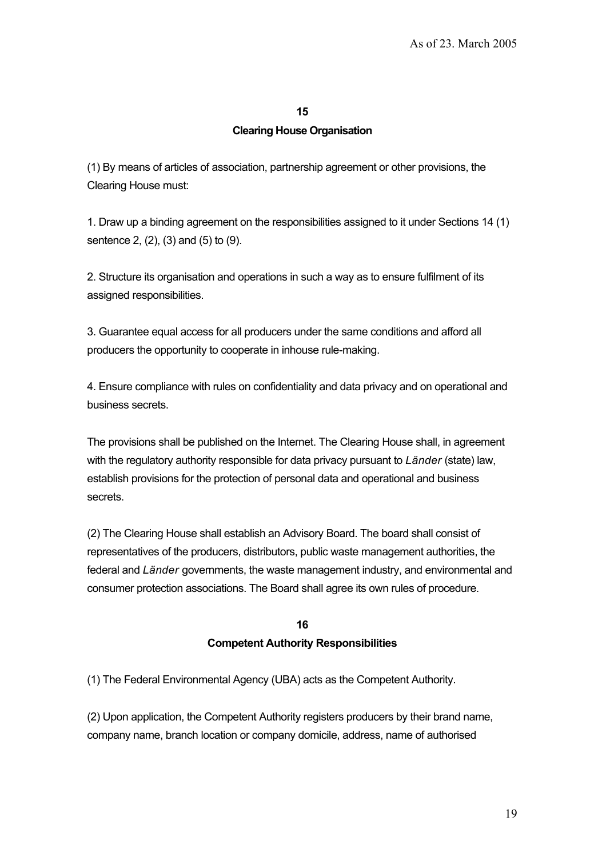#### **15**

#### **Clearing House Organisation**

(1) By means of articles of association, partnership agreement or other provisions, the Clearing House must:

1. Draw up a binding agreement on the responsibilities assigned to it under Sections 14 (1) sentence 2, (2), (3) and (5) to (9).

2. Structure its organisation and operations in such a way as to ensure fulfilment of its assigned responsibilities.

3. Guarantee equal access for all producers under the same conditions and afford all producers the opportunity to cooperate in inhouse rule-making.

4. Ensure compliance with rules on confidentiality and data privacy and on operational and business secrets.

The provisions shall be published on the Internet. The Clearing House shall, in agreement with the regulatory authority responsible for data privacy pursuant to *Länder* (state) law, establish provisions for the protection of personal data and operational and business secrets.

(2) The Clearing House shall establish an Advisory Board. The board shall consist of representatives of the producers, distributors, public waste management authorities, the federal and *Länder* governments, the waste management industry, and environmental and consumer protection associations. The Board shall agree its own rules of procedure.

# **16 Competent Authority Responsibilities**

(1) The Federal Environmental Agency (UBA) acts as the Competent Authority.

(2) Upon application, the Competent Authority registers producers by their brand name, company name, branch location or company domicile, address, name of authorised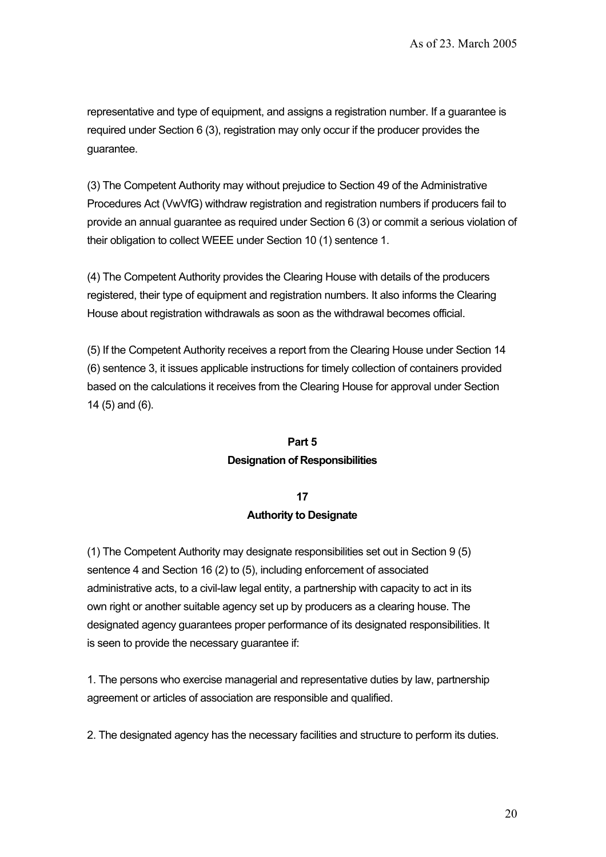representative and type of equipment, and assigns a registration number. If a guarantee is required under Section 6 (3), registration may only occur if the producer provides the guarantee.

(3) The Competent Authority may without prejudice to Section 49 of the Administrative Procedures Act (VwVfG) withdraw registration and registration numbers if producers fail to provide an annual guarantee as required under Section 6 (3) or commit a serious violation of their obligation to collect WEEE under Section 10 (1) sentence 1.

(4) The Competent Authority provides the Clearing House with details of the producers registered, their type of equipment and registration numbers. It also informs the Clearing House about registration withdrawals as soon as the withdrawal becomes official.

(5) If the Competent Authority receives a report from the Clearing House under Section 14 (6) sentence 3, it issues applicable instructions for timely collection of containers provided based on the calculations it receives from the Clearing House for approval under Section 14 (5) and (6).

# **Part 5 Designation of Responsibilities**

# **17 Authority to Designate**

(1) The Competent Authority may designate responsibilities set out in Section 9 (5) sentence 4 and Section 16 (2) to (5), including enforcement of associated administrative acts, to a civil-law legal entity, a partnership with capacity to act in its own right or another suitable agency set up by producers as a clearing house. The designated agency guarantees proper performance of its designated responsibilities. It is seen to provide the necessary guarantee if:

1. The persons who exercise managerial and representative duties by law, partnership agreement or articles of association are responsible and qualified.

2. The designated agency has the necessary facilities and structure to perform its duties.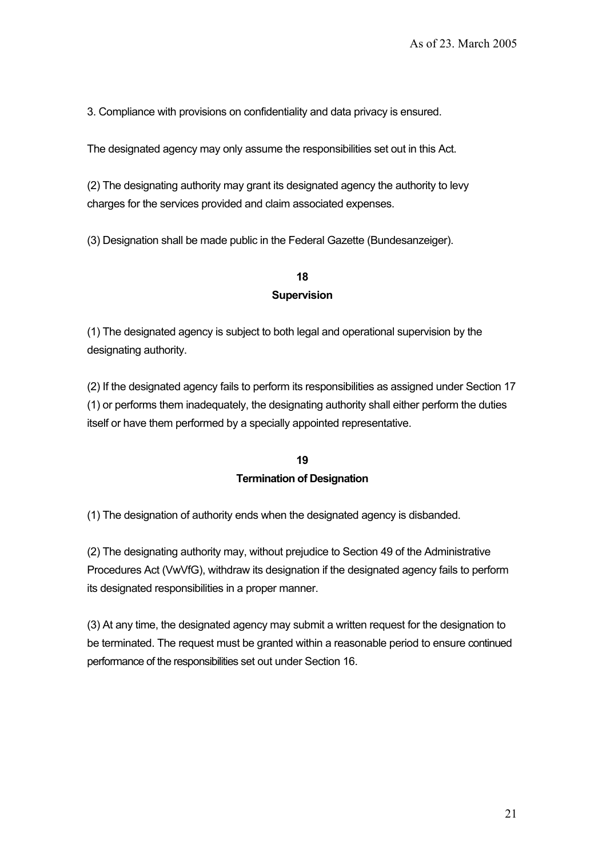3. Compliance with provisions on confidentiality and data privacy is ensured.

The designated agency may only assume the responsibilities set out in this Act.

(2) The designating authority may grant its designated agency the authority to levy charges for the services provided and claim associated expenses.

(3) Designation shall be made public in the Federal Gazette (Bundesanzeiger).

## **18 Supervision**

(1) The designated agency is subject to both legal and operational supervision by the designating authority.

(2) If the designated agency fails to perform its responsibilities as assigned under Section 17 (1) or performs them inadequately, the designating authority shall either perform the duties itself or have them performed by a specially appointed representative.

# **19 Termination of Designation**

(1) The designation of authority ends when the designated agency is disbanded.

(2) The designating authority may, without prejudice to Section 49 of the Administrative Procedures Act (VwVfG), withdraw its designation if the designated agency fails to perform its designated responsibilities in a proper manner.

(3) At any time, the designated agency may submit a written request for the designation to be terminated. The request must be granted within a reasonable period to ensure continued performance of the responsibilities set out under Section 16.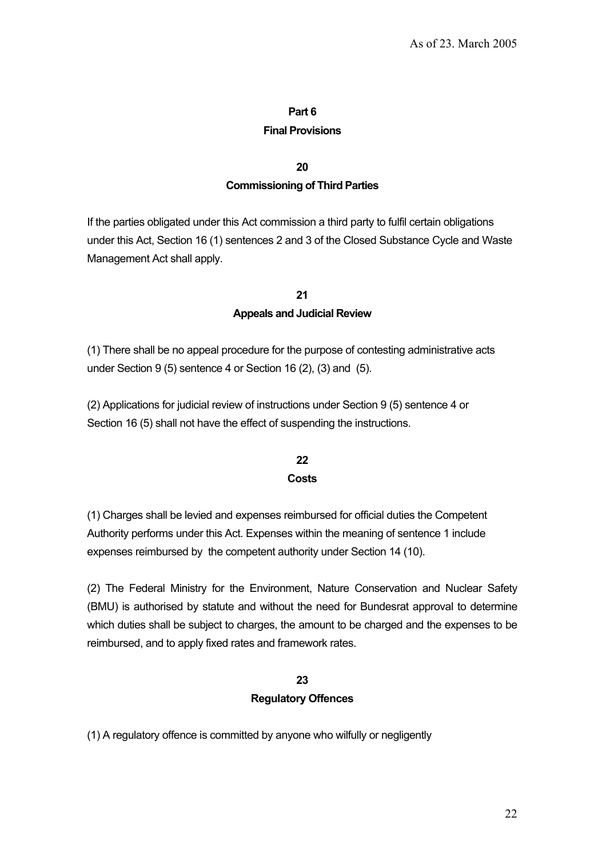## **Part 6**

#### **Final Provisions**

#### **20**

## **Commissioning of Third Parties**

If the parties obligated under this Act commission a third party to fulfil certain obligations under this Act, Section 16 (1) sentences 2 and 3 of the Closed Substance Cycle and Waste Management Act shall apply.

# **21 Appeals and Judicial Review**

(1) There shall be no appeal procedure for the purpose of contesting administrative acts under Section 9 (5) sentence 4 or Section 16 (2), (3) and (5).

(2) Applications for judicial review of instructions under Section 9 (5) sentence 4 or Section 16 (5) shall not have the effect of suspending the instructions.

## **22 Costs**

(1) Charges shall be levied and expenses reimbursed for official duties the Competent Authority performs under this Act. Expenses within the meaning of sentence 1 include expenses reimbursed by the competent authority under Section 14 (10).

(2) The Federal Ministry for the Environment, Nature Conservation and Nuclear Safety (BMU) is authorised by statute and without the need for Bundesrat approval to determine which duties shall be subject to charges, the amount to be charged and the expenses to be reimbursed, and to apply fixed rates and framework rates.

## **23**

#### **Regulatory Offences**

(1) A regulatory offence is committed by anyone who wilfully or negligently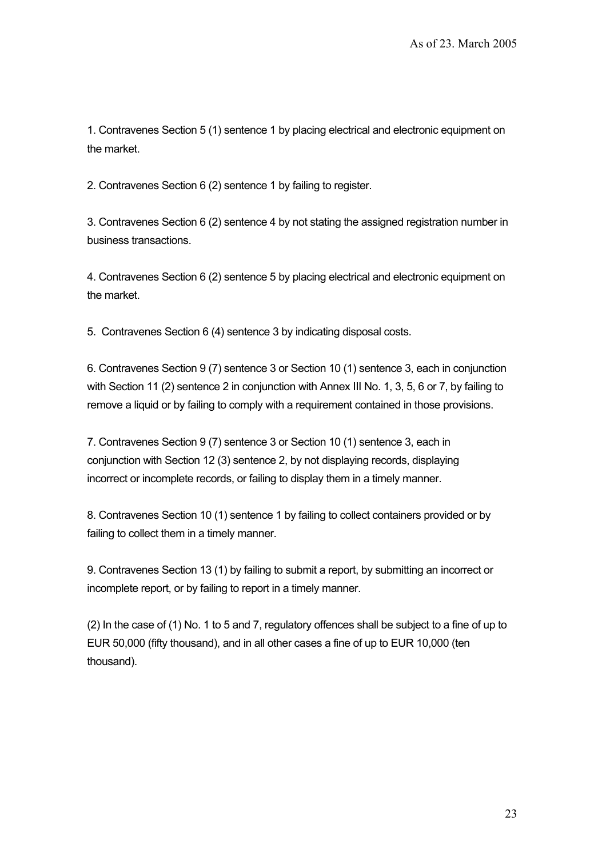1. Contravenes Section 5 (1) sentence 1 by placing electrical and electronic equipment on the market.

2. Contravenes Section 6 (2) sentence 1 by failing to register.

3. Contravenes Section 6 (2) sentence 4 by not stating the assigned registration number in business transactions.

4. Contravenes Section 6 (2) sentence 5 by placing electrical and electronic equipment on the market.

5. Contravenes Section 6 (4) sentence 3 by indicating disposal costs.

6. Contravenes Section 9 (7) sentence 3 or Section 10 (1) sentence 3, each in conjunction with Section 11 (2) sentence 2 in conjunction with Annex III No. 1, 3, 5, 6 or 7, by failing to remove a liquid or by failing to comply with a requirement contained in those provisions.

7. Contravenes Section 9 (7) sentence 3 or Section 10 (1) sentence 3, each in conjunction with Section 12 (3) sentence 2, by not displaying records, displaying incorrect or incomplete records, or failing to display them in a timely manner.

8. Contravenes Section 10 (1) sentence 1 by failing to collect containers provided or by failing to collect them in a timely manner.

9. Contravenes Section 13 (1) by failing to submit a report, by submitting an incorrect or incomplete report, or by failing to report in a timely manner.

(2) In the case of (1) No. 1 to 5 and 7, regulatory offences shall be subject to a fine of up to EUR 50,000 (fifty thousand), and in all other cases a fine of up to EUR 10,000 (ten thousand).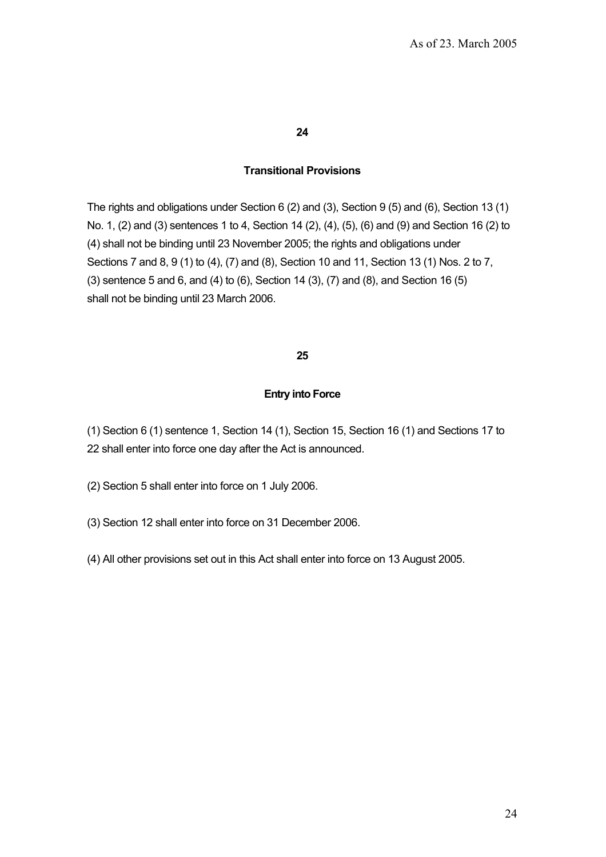#### **24**

#### **Transitional Provisions**

The rights and obligations under Section 6 (2) and (3), Section 9 (5) and (6), Section 13 (1) No. 1, (2) and (3) sentences 1 to 4, Section 14 (2), (4), (5), (6) and (9) and Section 16 (2) to (4) shall not be binding until 23 November 2005; the rights and obligations under Sections 7 and 8, 9 (1) to (4), (7) and (8), Section 10 and 11, Section 13 (1) Nos. 2 to 7, (3) sentence 5 and 6, and (4) to (6), Section 14 (3), (7) and (8), and Section 16 (5) shall not be binding until 23 March 2006.

#### **25**

#### **Entry into Force**

(1) Section 6 (1) sentence 1, Section 14 (1), Section 15, Section 16 (1) and Sections 17 to 22 shall enter into force one day after the Act is announced.

(2) Section 5 shall enter into force on 1 July 2006.

- (3) Section 12 shall enter into force on 31 December 2006.
- (4) All other provisions set out in this Act shall enter into force on 13 August 2005.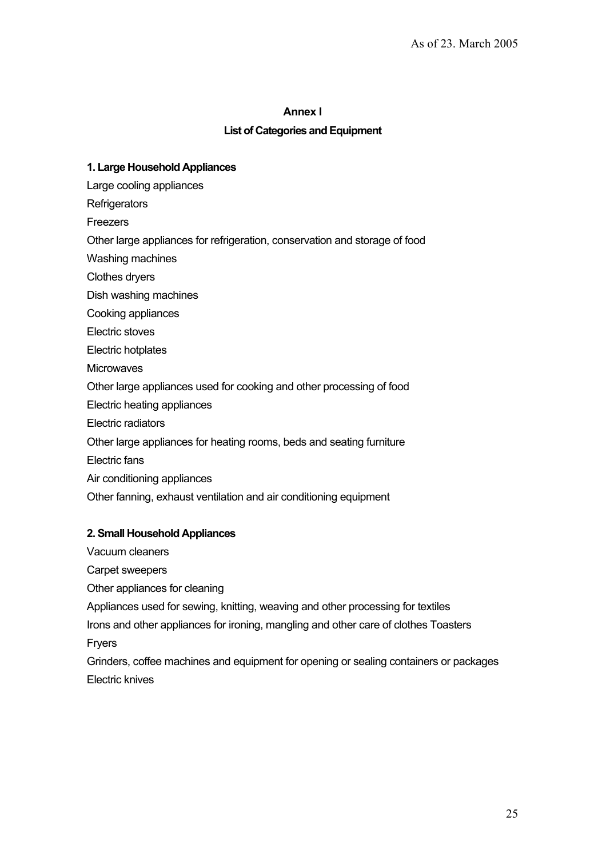#### **Annex I**

## **List of Categories and Equipment**

## **1. Large Household Appliances**

Large cooling appliances

**Refrigerators** 

Freezers

Other large appliances for refrigeration, conservation and storage of food

Washing machines

Clothes dryers

Dish washing machines

Cooking appliances

Electric stoves

Electric hotplates

**Microwaves** 

Other large appliances used for cooking and other processing of food

Electric heating appliances

Electric radiators

Other large appliances for heating rooms, beds and seating furniture

Electric fans

Air conditioning appliances

Other fanning, exhaust ventilation and air conditioning equipment

#### **2. Small Household Appliances**

Vacuum cleaners

Carpet sweepers

Other appliances for cleaning

Appliances used for sewing, knitting, weaving and other processing for textiles

Irons and other appliances for ironing, mangling and other care of clothes Toasters Fryers

Grinders, coffee machines and equipment for opening or sealing containers or packages Electric knives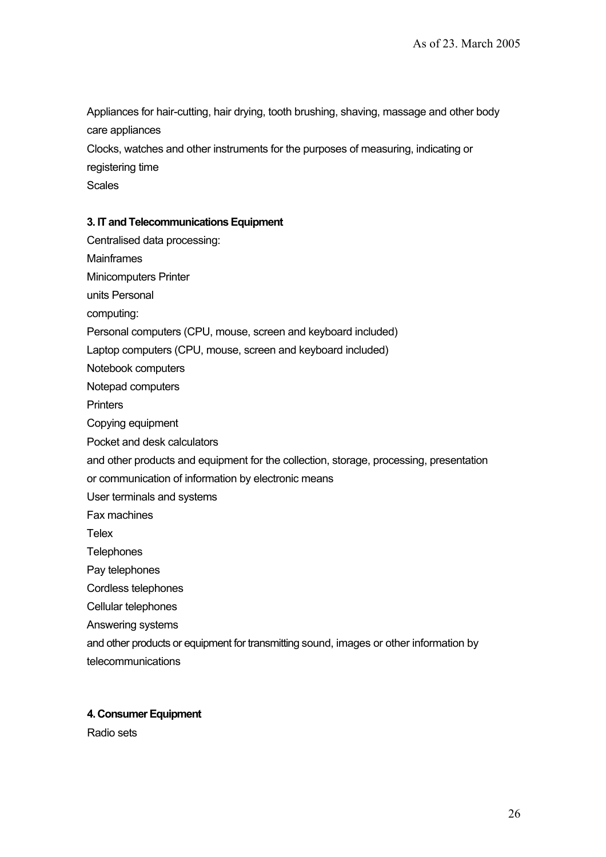Appliances for hair-cutting, hair drying, tooth brushing, shaving, massage and other body care appliances

Clocks, watches and other instruments for the purposes of measuring, indicating or

registering time

Scales

#### **3. IT and Telecommunications Equipment**

- Centralised data processing:
- **Mainframes**

Minicomputers Printer

units Personal

computing:

Personal computers (CPU, mouse, screen and keyboard included)

Laptop computers (CPU, mouse, screen and keyboard included)

Notebook computers

Notepad computers

**Printers** 

- Copying equipment
- Pocket and desk calculators
- and other products and equipment for the collection, storage, processing, presentation
- or communication of information by electronic means
- User terminals and systems

Fax machines

**Telex** 

**Telephones** 

Pay telephones

Cordless telephones

Cellular telephones

Answering systems

and other products or equipment for transmitting sound, images or other information by telecommunications

#### **4. Consumer Equipment**

Radio sets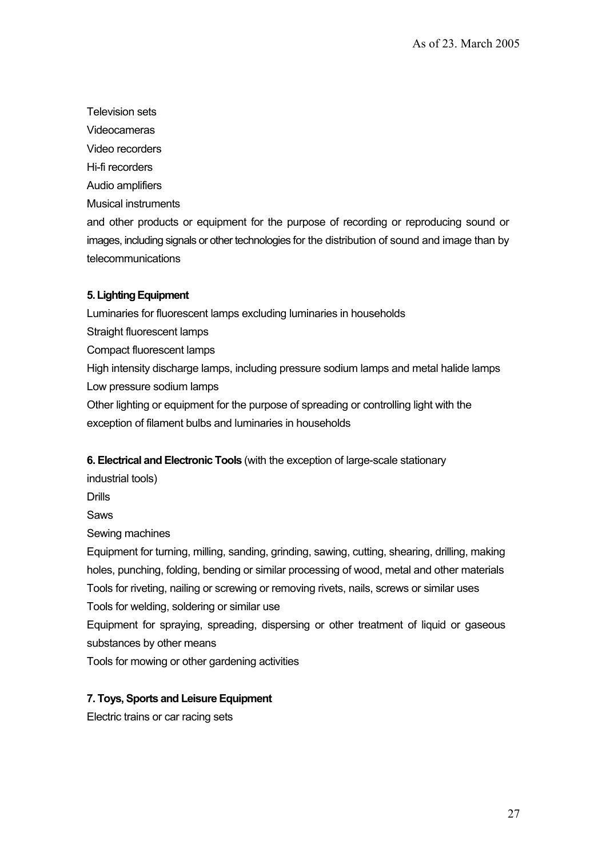Television sets

Videocameras

Video recorders

Hi-fi recorders

Audio amplifiers

Musical instruments

and other products or equipment for the purpose of recording or reproducing sound or images, including signals or other technologies for the distribution of sound and image than by telecommunications

# **5. Lighting Equipment**

Luminaries for fluorescent lamps excluding luminaries in households

Straight fluorescent lamps

Compact fluorescent lamps

High intensity discharge lamps, including pressure sodium lamps and metal halide lamps Low pressure sodium lamps

Other lighting or equipment for the purpose of spreading or controlling light with the exception of filament bulbs and luminaries in households

**6. Electrical and Electronic Tools** (with the exception of large-scale stationary

industrial tools)

**Drills** 

Saws

Sewing machines

Equipment for turning, milling, sanding, grinding, sawing, cutting, shearing, drilling, making holes, punching, folding, bending or similar processing of wood, metal and other materials Tools for riveting, nailing or screwing or removing rivets, nails, screws or similar uses Tools for welding, soldering or similar use

Equipment for spraying, spreading, dispersing or other treatment of liquid or gaseous substances by other means

Tools for mowing or other gardening activities

# **7. Toys, Sports and Leisure Equipment**

Electric trains or car racing sets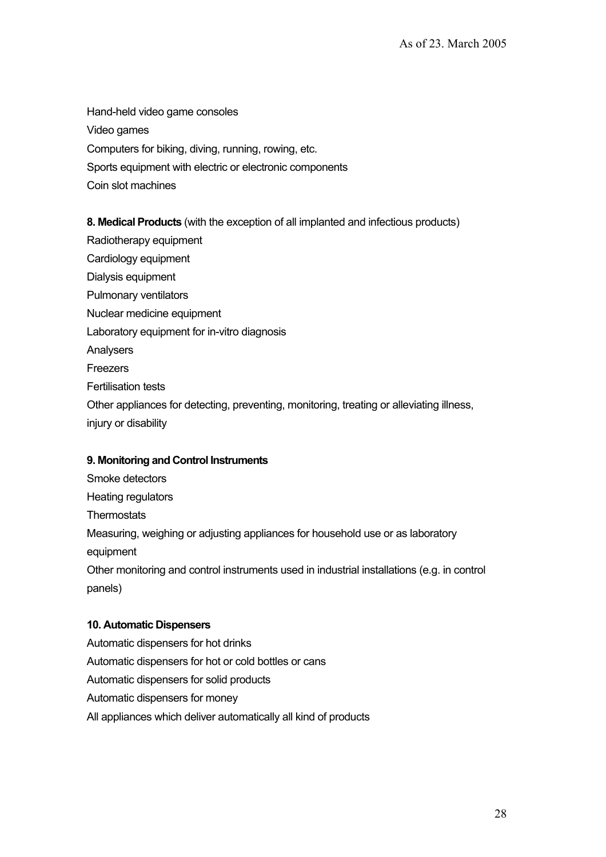Hand-held video game consoles Video games Computers for biking, diving, running, rowing, etc. Sports equipment with electric or electronic components Coin slot machines

**8. Medical Products** (with the exception of all implanted and infectious products)

Radiotherapy equipment Cardiology equipment Dialysis equipment Pulmonary ventilators Nuclear medicine equipment Laboratory equipment for in-vitro diagnosis Analysers **Freezers** Fertilisation tests Other appliances for detecting, preventing, monitoring, treating or alleviating illness, injury or disability

#### **9. Monitoring and Control Instruments**

Smoke detectors Heating regulators **Thermostats** Measuring, weighing or adjusting appliances for household use or as laboratory equipment Other monitoring and control instruments used in industrial installations (e.g. in control panels)

#### **10. Automatic Dispensers**

Automatic dispensers for hot drinks Automatic dispensers for hot or cold bottles or cans Automatic dispensers for solid products Automatic dispensers for money All appliances which deliver automatically all kind of products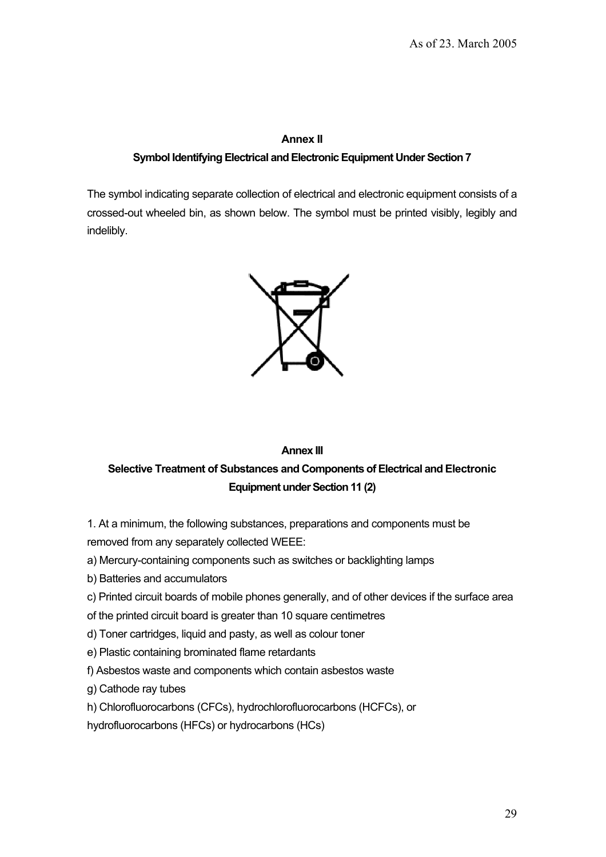#### **Annex II**

## **Symbol Identifying Electrical and Electronic Equipment Under Section 7**

The symbol indicating separate collection of electrical and electronic equipment consists of a crossed-out wheeled bin, as shown below. The symbol must be printed visibly, legibly and indelibly.



# **Annex III Selective Treatment of Substances and Components of Electrical and Electronic Equipment under Section 11 (2)**

1. At a minimum, the following substances, preparations and components must be removed from any separately collected WEEE:

a) Mercury-containing components such as switches or backlighting lamps

b) Batteries and accumulators

c) Printed circuit boards of mobile phones generally, and of other devices if the surface area

of the printed circuit board is greater than 10 square centimetres

d) Toner cartridges, liquid and pasty, as well as colour toner

e) Plastic containing brominated flame retardants

f) Asbestos waste and components which contain asbestos waste

g) Cathode ray tubes

h) Chlorofluorocarbons (CFCs), hydrochlorofluorocarbons (HCFCs), or

hydrofluorocarbons (HFCs) or hydrocarbons (HCs)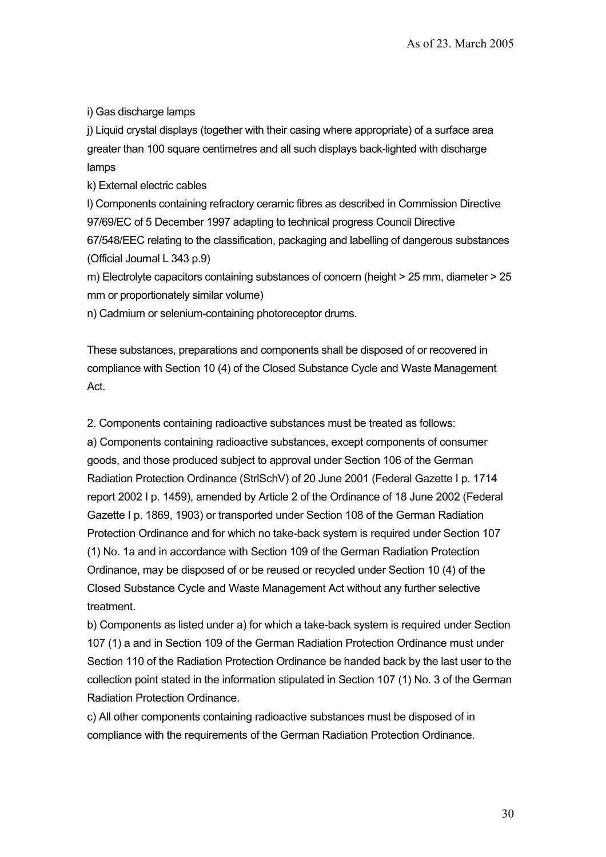i) Gas discharge lamps

j) Liquid crystal displays (together with their casing where appropriate) of a surface area greater than 100 square centimetres and all such displays back-lighted with discharge lamps

k) External electric cables

l) Components containing refractory ceramic fibres as described in Commission Directive 97/69/EC of 5 December 1997 adapting to technical progress Council Directive 67/548/EEC relating to the classification, packaging and labelling of dangerous substances (Official Journal L 343 p.9)

m) Electrolyte capacitors containing substances of concern (height > 25 mm, diameter > 25 mm or proportionately similar volume)

n) Cadmium or selenium-containing photoreceptor drums.

These substances, preparations and components shall be disposed of or recovered in compliance with Section 10 (4) of the Closed Substance Cycle and Waste Management Act.

2. Components containing radioactive substances must be treated as follows: a) Components containing radioactive substances, except components of consumer goods, and those produced subject to approval under Section 106 of the German Radiation Protection Ordinance (StrlSchV) of 20 June 2001 (Federal Gazette I p. 1714 report 2002 I p. 1459), amended by Article 2 of the Ordinance of 18 June 2002 (Federal Gazette I p. 1869, 1903) or transported under Section 108 of the German Radiation Protection Ordinance and for which no take-back system is required under Section 107 (1) No. 1a and in accordance with Section 109 of the German Radiation Protection Ordinance, may be disposed of or be reused or recycled under Section 10 (4) of the Closed Substance Cycle and Waste Management Act without any further selective treatment.

b) Components as listed under a) for which a take-back system is required under Section 107 (1) a and in Section 109 of the German Radiation Protection Ordinance must under Section 110 of the Radiation Protection Ordinance be handed back by the last user to the collection point stated in the information stipulated in Section 107 (1) No. 3 of the German Radiation Protection Ordinance.

c) All other components containing radioactive substances must be disposed of in compliance with the requirements of the German Radiation Protection Ordinance.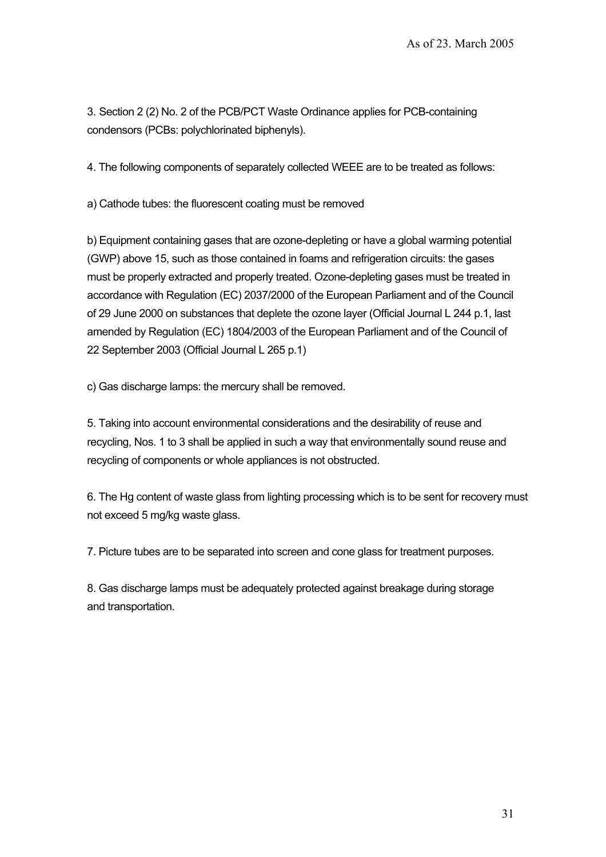3. Section 2 (2) No. 2 of the PCB/PCT Waste Ordinance applies for PCB-containing condensors (PCBs: polychlorinated biphenyls).

4. The following components of separately collected WEEE are to be treated as follows:

a) Cathode tubes: the fluorescent coating must be removed

b) Equipment containing gases that are ozone-depleting or have a global warming potential (GWP) above 15, such as those contained in foams and refrigeration circuits: the gases must be properly extracted and properly treated. Ozone-depleting gases must be treated in accordance with Regulation (EC) 2037/2000 of the European Parliament and of the Council of 29 June 2000 on substances that deplete the ozone layer (Official Journal L 244 p.1, last amended by Regulation (EC) 1804/2003 of the European Parliament and of the Council of 22 September 2003 (Official Journal L 265 p.1)

c) Gas discharge lamps: the mercury shall be removed.

5. Taking into account environmental considerations and the desirability of reuse and recycling, Nos. 1 to 3 shall be applied in such a way that environmentally sound reuse and recycling of components or whole appliances is not obstructed.

6. The Hg content of waste glass from lighting processing which is to be sent for recovery must not exceed 5 mg/kg waste glass.

7. Picture tubes are to be separated into screen and cone glass for treatment purposes.

8. Gas discharge lamps must be adequately protected against breakage during storage and transportation.